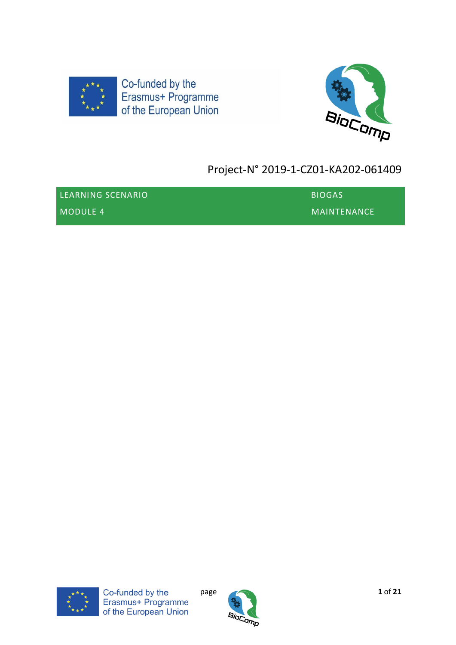



# Project-N° 2019-1-CZ01-KA202-061409

| LEARNING SCENARIO | <b>BIOGAS</b>  |
|-------------------|----------------|
| MODULE 4          | I MAINTENANCE' |



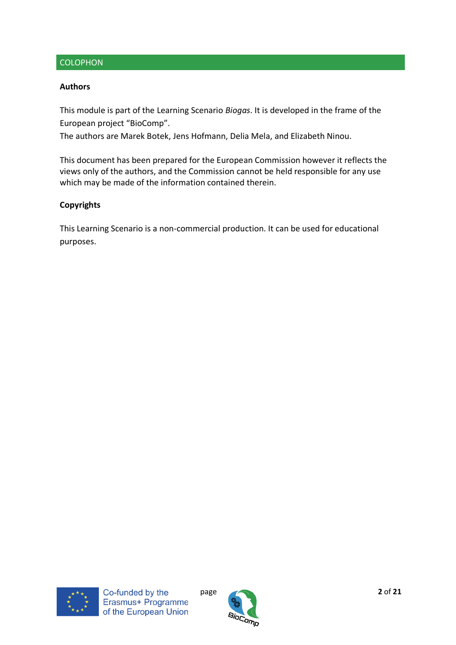### **COLOPHON**

#### **Authors**

This module is part of the Learning Scenario *Biogas*. It is developed in the frame of the European project "BioComp".

The authors are Marek Botek, Jens Hofmann, Delia Mela, and Elizabeth Ninou.

This document has been prepared for the European Commission however it reflects the views only of the authors, and the Commission cannot be held responsible for any use which may be made of the information contained therein.

#### **Copyrights**

This Learning Scenario is a non-commercial production. It can be used for educational purposes.



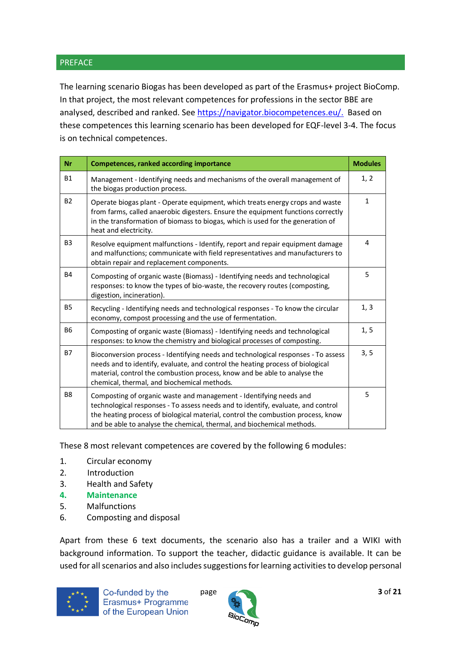#### PREFACE

The learning scenario Biogas has been developed as part of the Erasmus+ project BioComp. In that project, the most relevant competences for professions in the sector BBE are analysed, described and ranked. See [https://navigator.biocompetences.eu/.](https://navigator.biocompetences.eu/) Based on these competences this learning scenario has been developed for EQF-level 3-4. The focus is on technical competences.

| <b>Nr</b>      | <b>Competences, ranked according importance</b>                                                                                                                                                                                                                                                                      | <b>Modules</b> |
|----------------|----------------------------------------------------------------------------------------------------------------------------------------------------------------------------------------------------------------------------------------------------------------------------------------------------------------------|----------------|
| <b>B1</b>      | Management - Identifying needs and mechanisms of the overall management of<br>the biogas production process.                                                                                                                                                                                                         | 1, 2           |
| <b>B2</b>      | Operate biogas plant - Operate equipment, which treats energy crops and waste<br>from farms, called anaerobic digesters. Ensure the equipment functions correctly<br>in the transformation of biomass to biogas, which is used for the generation of<br>heat and electricity.                                        | $\mathbf{1}$   |
| B <sub>3</sub> | Resolve equipment malfunctions - Identify, report and repair equipment damage<br>and malfunctions; communicate with field representatives and manufacturers to<br>obtain repair and replacement components.                                                                                                          | 4              |
| <b>B4</b>      | Composting of organic waste (Biomass) - Identifying needs and technological<br>responses: to know the types of bio-waste, the recovery routes (composting,<br>digestion, incineration).                                                                                                                              | 5              |
| <b>B5</b>      | Recycling - Identifying needs and technological responses - To know the circular<br>economy, compost processing and the use of fermentation.                                                                                                                                                                         | 1, 3           |
| <b>B6</b>      | Composting of organic waste (Biomass) - Identifying needs and technological<br>responses: to know the chemistry and biological processes of composting.                                                                                                                                                              | 1, 5           |
| <b>B7</b>      | Bioconversion process - Identifying needs and technological responses - To assess<br>needs and to identify, evaluate, and control the heating process of biological<br>material, control the combustion process, know and be able to analyse the<br>chemical, thermal, and biochemical methods.                      | 3, 5           |
| B <sub>8</sub> | Composting of organic waste and management - Identifying needs and<br>technological responses - To assess needs and to identify, evaluate, and control<br>the heating process of biological material, control the combustion process, know<br>and be able to analyse the chemical, thermal, and biochemical methods. | 5              |

These 8 most relevant competences are covered by the following 6 modules:

- 1. Circular economy
- 2. Introduction
- 3. Health and Safety
- **4. Maintenance**
- 5. Malfunctions
- 6. Composting and disposal

Apart from these 6 text documents, the scenario also has a trailer and a WIKI with background information. To support the teacher, didactic guidance is available. It can be used for all scenarios and also includes suggestions for learning activities to develop personal



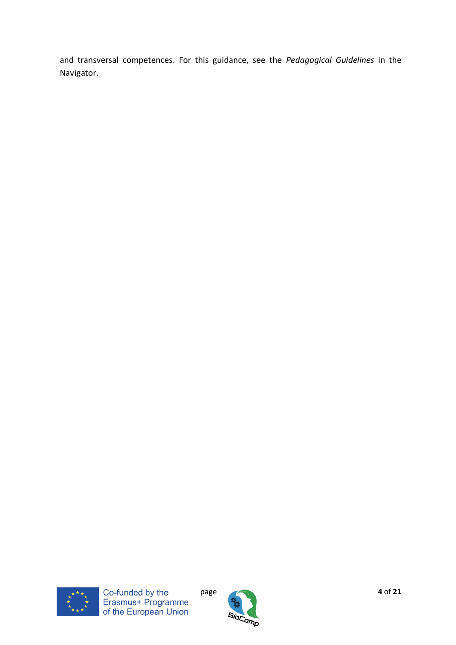and transversal competences. For this guidance, see the *Pedagogical Guidelines* in the Navigator.



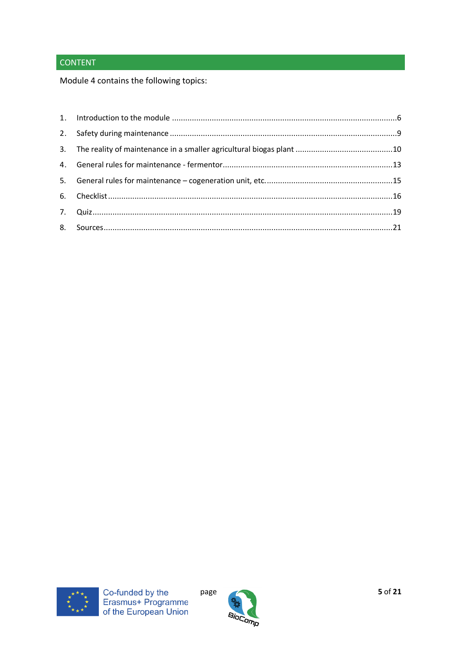## **CONTENT**

Module 4 contains the following topics:





page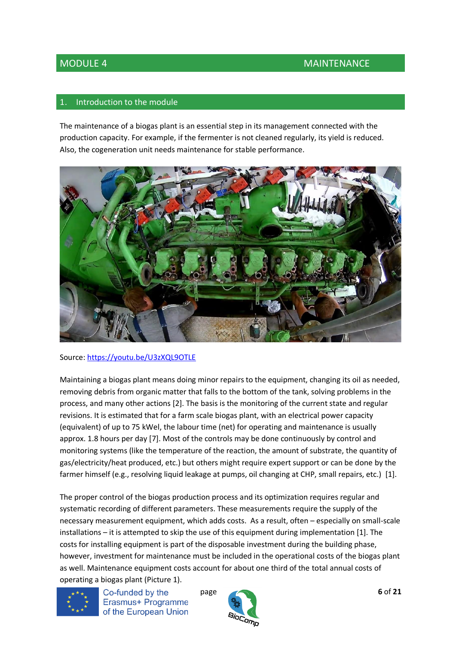#### <span id="page-5-0"></span>Introduction to the module

The maintenance of a biogas plant is an essential step in its management connected with the production capacity. For example, if the fermenter is not cleaned regularly, its yield is reduced. Also, the cogeneration unit needs maintenance for stable performance.



#### Source:<https://youtu.be/U3zXQL9OTLE>

Maintaining a biogas plant means doing minor repairs to the equipment, changing its oil as needed, removing debris from organic matter that falls to the bottom of the tank, solving problems in the process, and many other actions [2]. The basis is the monitoring of the current state and regular revisions. It is estimated that for a farm scale biogas plant, with an electrical power capacity (equivalent) of up to 75 kWel, the labour time (net) for operating and maintenance is usually approx. 1.8 hours per day [7]. Most of the controls may be done continuously by control and monitoring systems (like the temperature of the reaction, the amount of substrate, the quantity of gas/electricity/heat produced, etc.) but others might require expert support or can be done by the farmer himself (e.g., resolving liquid leakage at pumps, oil changing at CHP, small repairs, etc.) [1].

The proper control of the biogas production process and its optimization requires regular and systematic recording of different parameters. These measurements require the supply of the necessary measurement equipment, which adds costs. As a result, often – especially on small-scale installations – it is attempted to skip the use of this equipment during implementation [1]. The costs for installing equipment is part of the disposable investment during the building phase, however, investment for maintenance must be included in the operational costs of the biogas plant as well. Maintenance equipment costs account for about one third of the total annual costs of operating a biogas plant (Picture 1).



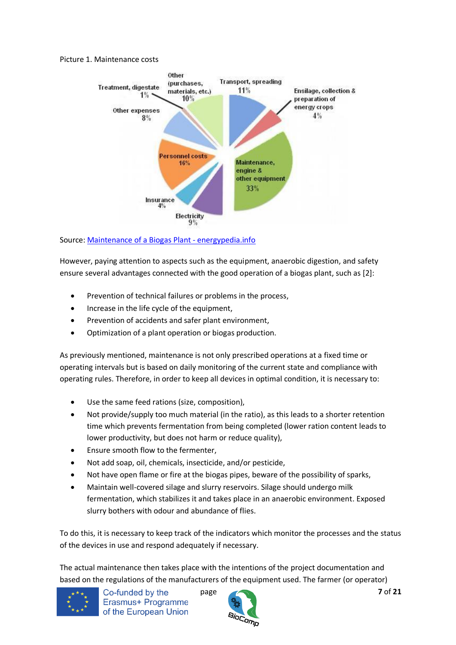#### Picture 1. Maintenance costs



Source: [Maintenance of a Biogas Plant -](https://energypedia.info/wiki/Maintenance_of_a_Biogas_Plant#Hygienisation_Tanks) energypedia.info

However, paying attention to aspects such as the equipment, anaerobic digestion, and safety ensure several advantages connected with the good operation of a biogas plant, such as [2]:

- Prevention of technical failures or problems in the process,
- Increase in the life cycle of the equipment,
- Prevention of accidents and safer plant environment,
- Optimization of a plant operation or biogas production.

As previously mentioned, maintenance is not only prescribed operations at a fixed time or operating intervals but is based on daily monitoring of the current state and compliance with operating rules. Therefore, in order to keep all devices in optimal condition, it is necessary to:

- Use the same feed rations (size, composition),
- Not provide/supply too much material (in the ratio), as this leads to a shorter retention time which prevents fermentation from being completed (lower ration content leads to lower productivity, but does not harm or reduce quality),
- Ensure smooth flow to the fermenter,
- Not add soap, oil, chemicals, insecticide, and/or pesticide,
- Not have open flame or fire at the biogas pipes, beware of the possibility of sparks,
- Maintain well-covered silage and slurry reservoirs. Silage should undergo milk fermentation, which stabilizes it and takes place in an anaerobic environment. Exposed slurry bothers with odour and abundance of flies.

To do this, it is necessary to keep track of the indicators which monitor the processes and the status of the devices in use and respond adequately if necessary.

The actual maintenance then takes place with the intentions of the project documentation and based on the regulations of the manufacturers of the equipment used. The farmer (or operator)



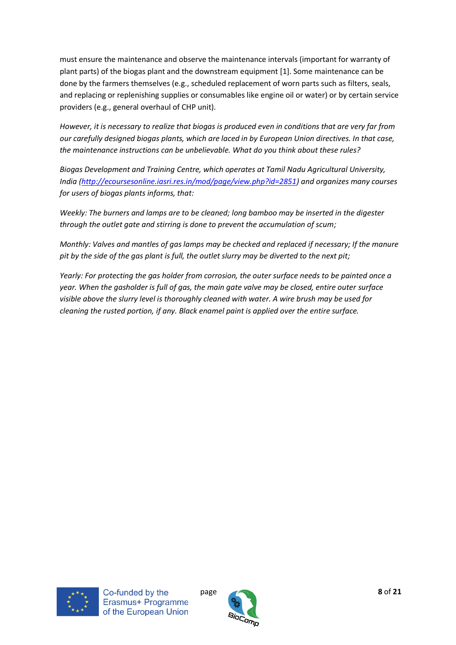must ensure the maintenance and observe the maintenance intervals (important for warranty of plant parts) of the biogas plant and the downstream equipment [1]. Some maintenance can be done by the farmers themselves (e.g., scheduled replacement of worn parts such as filters, seals, and replacing or replenishing supplies or consumables like engine oil or water) or by certain service providers (e.g., general overhaul of CHP unit).

*However, it is necessary to realize that biogas is produced even in conditions that are very far from our carefully designed biogas plants, which are laced in by European Union directives. In that case, the maintenance instructions can be unbelievable. What do you think about these rules?*

*Biogas Development and Training Centre, which operates at Tamil Nadu Agricultural University, India [\(http://ecoursesonline.iasri.res.in/mod/page/view.php?id=2851\)](http://ecoursesonline.iasri.res.in/mod/page/view.php?id=2851) and organizes many courses for users of biogas plants informs, that:*

*Weekly: The burners and lamps are to be cleaned; long bamboo may be inserted in the digester through the outlet gate and stirring is done to prevent the accumulation of scum;*

*Monthly: Valves and mantles of gas lamps may be checked and replaced if necessary; If the manure pit by the side of the gas plant is full, the outlet slurry may be diverted to the next pit;*

*Yearly: For protecting the gas holder from corrosion, the outer surface needs to be painted once a year. When the gasholder is full of gas, the main gate valve may be closed, entire outer surface visible above the slurry level is thoroughly cleaned with water. A wire brush may be used for cleaning the rusted portion, if any. Black enamel paint is applied over the entire surface.*



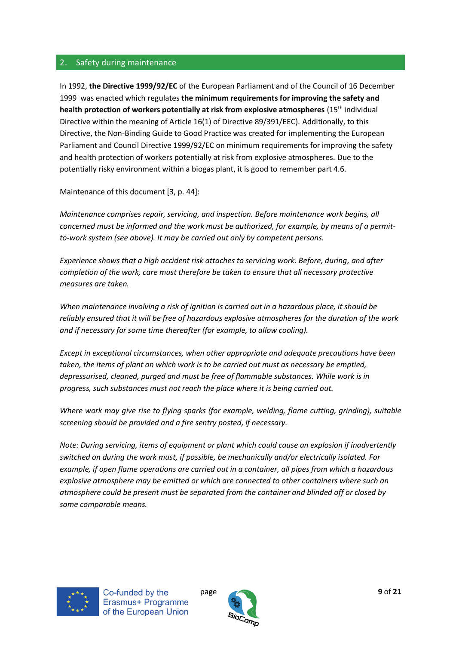#### <span id="page-8-0"></span>2. Safety during maintenance

In 1992, **the Directive 1999/92/EC** of the European Parliament and of the Council of 16 December 1999 was enacted which regulates **the minimum requirements for improving the safety and health protection of workers potentially at risk from explosive atmospheres** (15th individual Directive within the meaning of Article 16(1) of Directive 89/391/EEC). Additionally, to this Directive, the Non-Binding Guide to Good Practice was created for implementing the European Parliament and Council Directive 1999/92/EC on minimum requirements for improving the safety and health protection of workers potentially at risk from explosive atmospheres. Due to the potentially risky environment within a biogas plant, it is good to remember part 4.6.

Maintenance of this document [3, p. 44]:

*Maintenance comprises repair, servicing, and inspection. Before maintenance work begins, all concerned must be informed and the work must be authorized, for example, by means of a permitto-work system (see above). It may be carried out only by competent persons.*

*Experience shows that a high accident risk attaches to servicing work. Before, during, and after completion of the work, care must therefore be taken to ensure that all necessary protective measures are taken.*

*When maintenance involving a risk of ignition is carried out in a hazardous place, it should be reliably ensured that it will be free of hazardous explosive atmospheres for the duration of the work and if necessary for some time thereafter (for example, to allow cooling).*

*Except in exceptional circumstances, when other appropriate and adequate precautions have been taken, the items of plant on which work is to be carried out must as necessary be emptied, depressurised, cleaned, purged and must be free of flammable substances. While work is in progress, such substances must not reach the place where it is being carried out.*

*Where work may give rise to flying sparks (for example, welding, flame cutting, grinding), suitable screening should be provided and a fire sentry posted, if necessary.*

*Note: During servicing, items of equipment or plant which could cause an explosion if inadvertently switched on during the work must, if possible, be mechanically and/or electrically isolated. For example, if open flame operations are carried out in a container, all pipes from which a hazardous explosive atmosphere may be emitted or which are connected to other containers where such an atmosphere could be present must be separated from the container and blinded off or closed by some comparable means.*



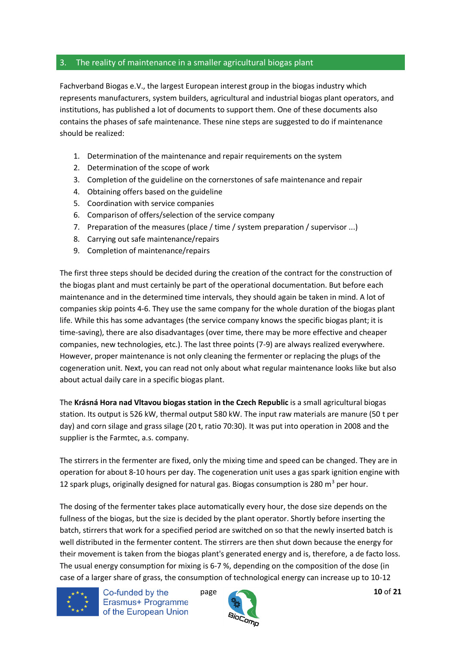#### <span id="page-9-0"></span>3. The reality of maintenance in a smaller agricultural biogas plant

Fachverband Biogas e.V., the largest European interest group in the biogas industry which represents manufacturers, system builders, agricultural and industrial biogas plant operators, and institutions, has published a lot of documents to support them. One of these documents also contains the phases of safe maintenance. These nine steps are suggested to do if maintenance should be realized:

- 1. Determination of the maintenance and repair requirements on the system
- 2. Determination of the scope of work
- 3. Completion of the guideline on the cornerstones of safe maintenance and repair
- 4. Obtaining offers based on the guideline
- 5. Coordination with service companies
- 6. Comparison of offers/selection of the service company
- 7. Preparation of the measures (place / time / system preparation / supervisor ...)
- 8. Carrying out safe maintenance/repairs
- 9. Completion of maintenance/repairs

The first three steps should be decided during the creation of the contract for the construction of the biogas plant and must certainly be part of the operational documentation. But before each maintenance and in the determined time intervals, they should again be taken in mind. A lot of companies skip points 4-6. They use the same company for the whole duration of the biogas plant life. While this has some advantages (the service company knows the specific biogas plant; it is time-saving), there are also disadvantages (over time, there may be more effective and cheaper companies, new technologies, etc.). The last three points (7-9) are always realized everywhere. However, proper maintenance is not only cleaning the fermenter or replacing the plugs of the cogeneration unit. Next, you can read not only about what regular maintenance looks like but also about actual daily care in a specific biogas plant.

The **Krásná Hora nad Vltavou biogas station in the Czech Republic** is a small agricultural biogas station. Its output is 526 kW, thermal output 580 kW. The input raw materials are manure (50 t per day) and corn silage and grass silage (20 t, ratio 70:30). It was put into operation in 2008 and the supplier is the Farmtec, a.s. company.

The stirrers in the fermenter are fixed, only the mixing time and speed can be changed. They are in operation for about 8-10 hours per day. The cogeneration unit uses a gas spark ignition engine with 12 spark plugs, originally designed for natural gas. Biogas consumption is 280  $m^3$  per hour.

The dosing of the fermenter takes place automatically every hour, the dose size depends on the fullness of the biogas, but the size is decided by the plant operator. Shortly before inserting the batch, stirrers that work for a specified period are switched on so that the newly inserted batch is well distributed in the fermenter content. The stirrers are then shut down because the energy for their movement is taken from the biogas plant's generated energy and is, therefore, a de facto loss. The usual energy consumption for mixing is 6-7 %, depending on the composition of the dose (in case of a larger share of grass, the consumption of technological energy can increase up to 10-12



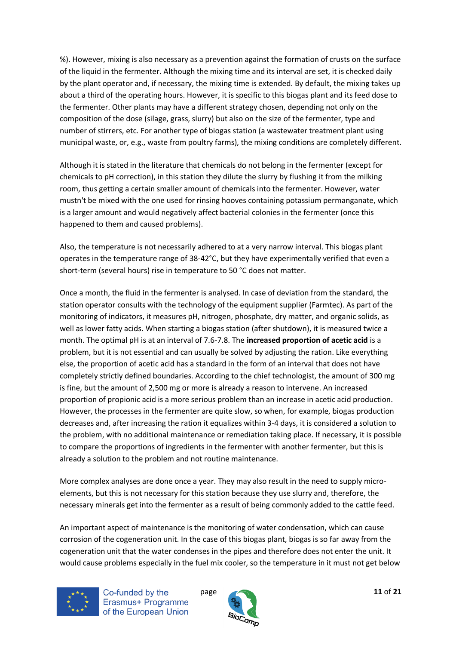%). However, mixing is also necessary as a prevention against the formation of crusts on the surface of the liquid in the fermenter. Although the mixing time and its interval are set, it is checked daily by the plant operator and, if necessary, the mixing time is extended. By default, the mixing takes up about a third of the operating hours. However, it is specific to this biogas plant and its feed dose to the fermenter. Other plants may have a different strategy chosen, depending not only on the composition of the dose (silage, grass, slurry) but also on the size of the fermenter, type and number of stirrers, etc. For another type of biogas station (a wastewater treatment plant using municipal waste, or, e.g., waste from poultry farms), the mixing conditions are completely different.

Although it is stated in the literature that chemicals do not belong in the fermenter (except for chemicals to pH correction), in this station they dilute the slurry by flushing it from the milking room, thus getting a certain smaller amount of chemicals into the fermenter. However, water mustn't be mixed with the one used for rinsing hooves containing potassium permanganate, which is a larger amount and would negatively affect bacterial colonies in the fermenter (once this happened to them and caused problems).

Also, the temperature is not necessarily adhered to at a very narrow interval. This biogas plant operates in the temperature range of 38-42°C, but they have experimentally verified that even a short-term (several hours) rise in temperature to 50 °C does not matter.

Once a month, the fluid in the fermenter is analysed. In case of deviation from the standard, the station operator consults with the technology of the equipment supplier (Farmtec). As part of the monitoring of indicators, it measures pH, nitrogen, phosphate, dry matter, and organic solids, as well as lower fatty acids. When starting a biogas station (after shutdown), it is measured twice a month. The optimal pH is at an interval of 7.6-7.8. The **increased proportion of acetic acid** is a problem, but it is not essential and can usually be solved by adjusting the ration. Like everything else, the proportion of acetic acid has a standard in the form of an interval that does not have completely strictly defined boundaries. According to the chief technologist, the amount of 300 mg is fine, but the amount of 2,500 mg or more is already a reason to intervene. An increased proportion of propionic acid is a more serious problem than an increase in acetic acid production. However, the processes in the fermenter are quite slow, so when, for example, biogas production decreases and, after increasing the ration it equalizes within 3-4 days, it is considered a solution to the problem, with no additional maintenance or remediation taking place. If necessary, it is possible to compare the proportions of ingredients in the fermenter with another fermenter, but this is already a solution to the problem and not routine maintenance.

More complex analyses are done once a year. They may also result in the need to supply microelements, but this is not necessary for this station because they use slurry and, therefore, the necessary minerals get into the fermenter as a result of being commonly added to the cattle feed.

An important aspect of maintenance is the monitoring of water condensation, which can cause corrosion of the cogeneration unit. In the case of this biogas plant, biogas is so far away from the cogeneration unit that the water condenses in the pipes and therefore does not enter the unit. It would cause problems especially in the fuel mix cooler, so the temperature in it must not get below



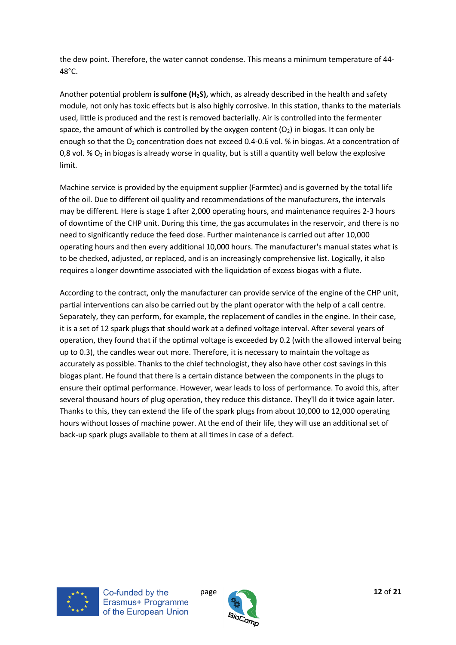the dew point. Therefore, the water cannot condense. This means a minimum temperature of 44- 48°C.

Another potential problem **is sulfone (H2S),** which, as already described in the health and safety module, not only has toxic effects but is also highly corrosive. In this station, thanks to the materials used, little is produced and the rest is removed bacterially. Air is controlled into the fermenter space, the amount of which is controlled by the oxygen content  $(O_2)$  in biogas. It can only be enough so that the  $O_2$  concentration does not exceed 0.4-0.6 vol. % in biogas. At a concentration of 0,8 vol.  $\%$  O<sub>2</sub> in biogas is already worse in quality, but is still a quantity well below the explosive limit.

Machine service is provided by the equipment supplier (Farmtec) and is governed by the total life of the oil. Due to different oil quality and recommendations of the manufacturers, the intervals may be different. Here is stage 1 after 2,000 operating hours, and maintenance requires 2-3 hours of downtime of the CHP unit. During this time, the gas accumulates in the reservoir, and there is no need to significantly reduce the feed dose. Further maintenance is carried out after 10,000 operating hours and then every additional 10,000 hours. The manufacturer's manual states what is to be checked, adjusted, or replaced, and is an increasingly comprehensive list. Logically, it also requires a longer downtime associated with the liquidation of excess biogas with a flute.

According to the contract, only the manufacturer can provide service of the engine of the CHP unit, partial interventions can also be carried out by the plant operator with the help of a call centre. Separately, they can perform, for example, the replacement of candles in the engine. In their case, it is a set of 12 spark plugs that should work at a defined voltage interval. After several years of operation, they found that if the optimal voltage is exceeded by 0.2 (with the allowed interval being up to 0.3), the candles wear out more. Therefore, it is necessary to maintain the voltage as accurately as possible. Thanks to the chief technologist, they also have other cost savings in this biogas plant. He found that there is a certain distance between the components in the plugs to ensure their optimal performance. However, wear leads to loss of performance. To avoid this, after several thousand hours of plug operation, they reduce this distance. They'll do it twice again later. Thanks to this, they can extend the life of the spark plugs from about 10,000 to 12,000 operating hours without losses of machine power. At the end of their life, they will use an additional set of back-up spark plugs available to them at all times in case of a defect.



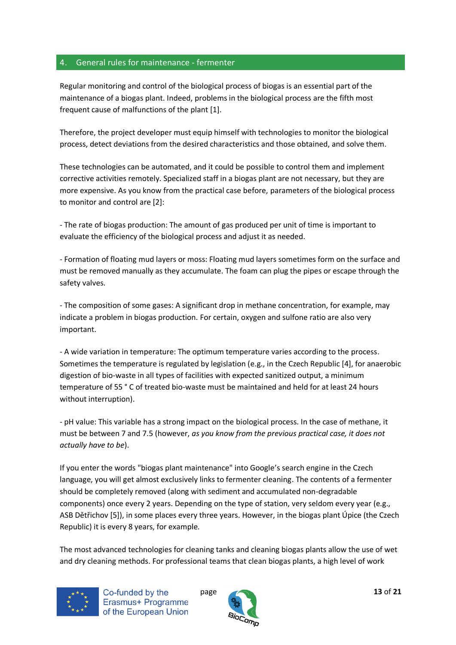#### <span id="page-12-0"></span>4. General rules for maintenance - fermenter

Regular monitoring and control of the biological process of biogas is an essential part of the maintenance of a biogas plant. Indeed, problems in the biological process are the fifth most frequent cause of malfunctions of the plant [1].

Therefore, the project developer must equip himself with technologies to monitor the biological process, detect deviations from the desired characteristics and those obtained, and solve them.

These technologies can be automated, and it could be possible to control them and implement corrective activities remotely. Specialized staff in a biogas plant are not necessary, but they are more expensive. As you know from the practical case before, parameters of the biological process to monitor and control are [2]:

- The rate of biogas production: The amount of gas produced per unit of time is important to evaluate the efficiency of the biological process and adjust it as needed.

- Formation of floating mud layers or moss: Floating mud layers sometimes form on the surface and must be removed manually as they accumulate. The foam can plug the pipes or escape through the safety valves.

- The composition of some gases: A significant drop in methane concentration, for example, may indicate a problem in biogas production. For certain, oxygen and sulfone ratio are also very important.

- A wide variation in temperature: The optimum temperature varies according to the process. Sometimes the temperature is regulated by legislation (e.g., in the Czech Republic [4], for anaerobic digestion of bio-waste in all types of facilities with expected sanitized output, a minimum temperature of 55 ° C of treated bio-waste must be maintained and held for at least 24 hours without interruption).

- pH value: This variable has a strong impact on the biological process. In the case of methane, it must be between 7 and 7.5 (however, *as you know from the previous practical case, it does not actually have to be*).

If you enter the words "biogas plant maintenance" into Google's search engine in the Czech language, you will get almost exclusively links to fermenter cleaning. The contents of a fermenter should be completely removed (along with sediment and accumulated non-degradable components) once every 2 years. Depending on the type of station, very seldom every year (e.g., ASB Dětřichov [5]), in some places every three years. However, in the biogas plant Úpice (the Czech Republic) it is every 8 years, for example.

The most advanced technologies for cleaning tanks and cleaning biogas plants allow the use of wet and dry cleaning methods. For professional teams that clean biogas plants, a high level of work



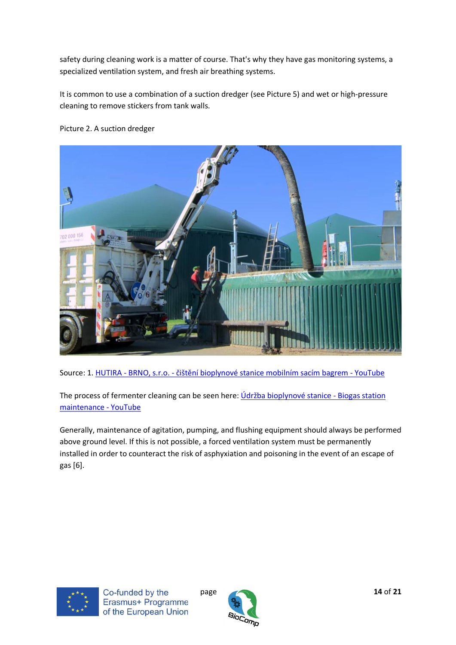safety during cleaning work is a matter of course. That's why they have gas monitoring systems, a specialized ventilation system, and fresh air breathing systems.

It is common to use a combination of a suction dredger (see Picture 5) and wet or high-pressure cleaning to remove stickers from tank walls.



#### Picture 2. A suction dredger

Source: 1. HUTIRA - BRNO, s.r.o. - [čištění bioplynové stanice mobilním sacím bagrem](https://www.youtube.com/watch?v=PmeyDl8Kt4U) - YouTube

The process of fermenter cleaning can be seen here: *[Údržba bioplynové stanice](https://www.youtube.com/watch?v=YCvQZp3orQ4) - Biogas station* [maintenance -](https://www.youtube.com/watch?v=YCvQZp3orQ4) YouTube

Generally, maintenance of agitation, pumping, and flushing equipment should always be performed above ground level. If this is not possible, a forced ventilation system must be permanently installed in order to counteract the risk of asphyxiation and poisoning in the event of an escape of gas [6].



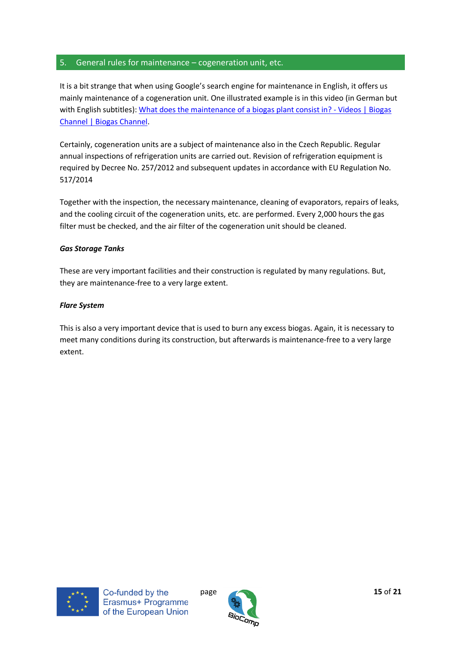#### <span id="page-14-0"></span>5. General rules for maintenance – cogeneration unit, etc.

It is a bit strange that when using Google's search engine for maintenance in English, it offers us mainly maintenance of a cogeneration unit. One illustrated example is in this video (in German but with English subtitles): [What does the maintenance of a biogas plant consist in? -](https://www.biogaschannel.com/en/video/chp/9/what-does-maintenance-biogas-plant-consist/1263/) Videos | Biogas [Channel | Biogas Channel.](https://www.biogaschannel.com/en/video/chp/9/what-does-maintenance-biogas-plant-consist/1263/)

Certainly, cogeneration units are a subject of maintenance also in the Czech Republic. Regular annual inspections of refrigeration units are carried out. Revision of refrigeration equipment is required by Decree No. 257/2012 and subsequent updates in accordance with EU Regulation No. 517/2014

Together with the inspection, the necessary maintenance, cleaning of evaporators, repairs of leaks, and the cooling circuit of the cogeneration units, etc. are performed. Every 2,000 hours the gas filter must be checked, and the air filter of the cogeneration unit should be cleaned.

#### *Gas Storage Tanks*

These are very important facilities and their construction is regulated by many regulations. But, they are maintenance-free to a very large extent.

#### *Flare System*

This is also a very important device that is used to burn any excess biogas. Again, it is necessary to meet many conditions during its construction, but afterwards is maintenance-free to a very large extent.



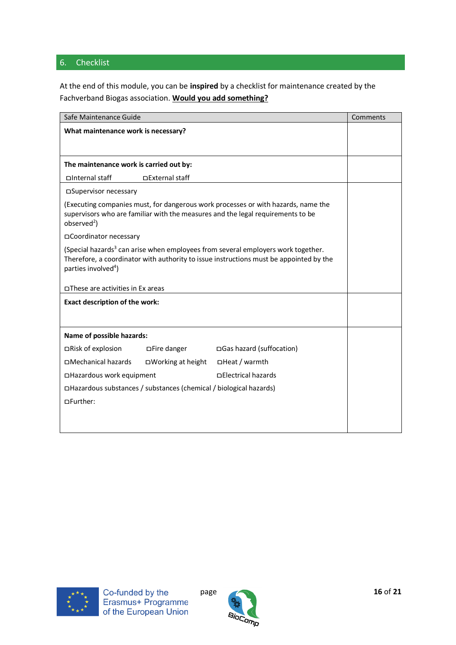### <span id="page-15-0"></span>6. Checklist

At the end of this module, you can be **inspired** by a checklist for maintenance created by the Fachverband Biogas association. **Would you add something?**

| Safe Maintenance Guide                                                                                                                                                                                                    |                           |                           | Comments |
|---------------------------------------------------------------------------------------------------------------------------------------------------------------------------------------------------------------------------|---------------------------|---------------------------|----------|
| What maintenance work is necessary?                                                                                                                                                                                       |                           |                           |          |
|                                                                                                                                                                                                                           |                           |                           |          |
| The maintenance work is carried out by:                                                                                                                                                                                   |                           |                           |          |
| □Internal staff                                                                                                                                                                                                           | □External staff           |                           |          |
| □Supervisor necessary                                                                                                                                                                                                     |                           |                           |          |
| (Executing companies must, for dangerous work processes or with hazards, name the<br>supervisors who are familiar with the measures and the legal requirements to be<br>observed <sup>2</sup> )                           |                           |                           |          |
| □Coordinator necessary                                                                                                                                                                                                    |                           |                           |          |
| (Special hazards <sup>3</sup> can arise when employees from several employers work together.<br>Therefore, a coordinator with authority to issue instructions must be appointed by the<br>parties involved <sup>4</sup> ) |                           |                           |          |
| □These are activities in Ex areas                                                                                                                                                                                         |                           |                           |          |
| <b>Exact description of the work:</b>                                                                                                                                                                                     |                           |                           |          |
|                                                                                                                                                                                                                           |                           |                           |          |
| Name of possible hazards:                                                                                                                                                                                                 |                           |                           |          |
| □Risk of explosion                                                                                                                                                                                                        | <b>DFire danger</b>       | □Gas hazard (suffocation) |          |
| □Mechanical hazards                                                                                                                                                                                                       | <b>DWorking at height</b> | <b>DHeat / warmth</b>     |          |
| □Hazardous work equipment                                                                                                                                                                                                 |                           | □ Electrical hazards      |          |
| □Hazardous substances / substances (chemical / biological hazards)                                                                                                                                                        |                           |                           |          |
| ∩Further:                                                                                                                                                                                                                 |                           |                           |          |
|                                                                                                                                                                                                                           |                           |                           |          |
|                                                                                                                                                                                                                           |                           |                           |          |



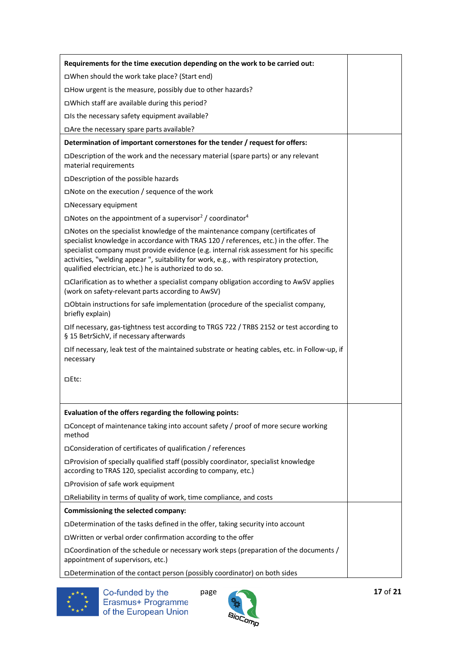| Requirements for the time execution depending on the work to be carried out:                                                                                                                                                                                                                                                                                                                                              |
|---------------------------------------------------------------------------------------------------------------------------------------------------------------------------------------------------------------------------------------------------------------------------------------------------------------------------------------------------------------------------------------------------------------------------|
| □When should the work take place? (Start end)                                                                                                                                                                                                                                                                                                                                                                             |
| □How urgent is the measure, possibly due to other hazards?                                                                                                                                                                                                                                                                                                                                                                |
| □Which staff are available during this period?                                                                                                                                                                                                                                                                                                                                                                            |
| □Is the necessary safety equipment available?                                                                                                                                                                                                                                                                                                                                                                             |
| □Are the necessary spare parts available?                                                                                                                                                                                                                                                                                                                                                                                 |
| Determination of important cornerstones for the tender / request for offers:                                                                                                                                                                                                                                                                                                                                              |
| □Description of the work and the necessary material (spare parts) or any relevant<br>material requirements                                                                                                                                                                                                                                                                                                                |
| □Description of the possible hazards                                                                                                                                                                                                                                                                                                                                                                                      |
| $\square$ Note on the execution / sequence of the work                                                                                                                                                                                                                                                                                                                                                                    |
| □Necessary equipment                                                                                                                                                                                                                                                                                                                                                                                                      |
| □Notes on the appointment of a supervisor <sup>2</sup> / coordinator <sup>4</sup>                                                                                                                                                                                                                                                                                                                                         |
| □Notes on the specialist knowledge of the maintenance company (certificates of<br>specialist knowledge in accordance with TRAS 120 / references, etc.) in the offer. The<br>specialist company must provide evidence (e.g. internal risk assessment for his specific<br>activities, "welding appear", suitability for work, e.g., with respiratory protection,<br>qualified electrician, etc.) he is authorized to do so. |
| □Clarification as to whether a specialist company obligation according to AwSV applies<br>(work on safety-relevant parts according to AwSV)                                                                                                                                                                                                                                                                               |
| □ Obtain instructions for safe implementation (procedure of the specialist company,<br>briefly explain)                                                                                                                                                                                                                                                                                                                   |
| □If necessary, gas-tightness test according to TRGS 722 / TRBS 2152 or test according to<br>§ 15 BetrSichV, if necessary afterwards                                                                                                                                                                                                                                                                                       |
| □If necessary, leak test of the maintained substrate or heating cables, etc. in Follow-up, if<br>necessary                                                                                                                                                                                                                                                                                                                |
| □Etc:                                                                                                                                                                                                                                                                                                                                                                                                                     |
| Evaluation of the offers regarding the following points:                                                                                                                                                                                                                                                                                                                                                                  |
| □Concept of maintenance taking into account safety / proof of more secure working<br>method                                                                                                                                                                                                                                                                                                                               |
| □ Consideration of certificates of qualification / references                                                                                                                                                                                                                                                                                                                                                             |
| □Provision of specially qualified staff (possibly coordinator, specialist knowledge<br>according to TRAS 120, specialist according to company, etc.)                                                                                                                                                                                                                                                                      |
| □Provision of safe work equipment                                                                                                                                                                                                                                                                                                                                                                                         |
| □Reliability in terms of quality of work, time compliance, and costs                                                                                                                                                                                                                                                                                                                                                      |
| Commissioning the selected company:                                                                                                                                                                                                                                                                                                                                                                                       |
| □Determination of the tasks defined in the offer, taking security into account                                                                                                                                                                                                                                                                                                                                            |
| □Written or verbal order confirmation according to the offer                                                                                                                                                                                                                                                                                                                                                              |
| □Coordination of the schedule or necessary work steps (preparation of the documents /<br>appointment of supervisors, etc.)                                                                                                                                                                                                                                                                                                |
| □Determination of the contact person (possibly coordinator) on both sides                                                                                                                                                                                                                                                                                                                                                 |



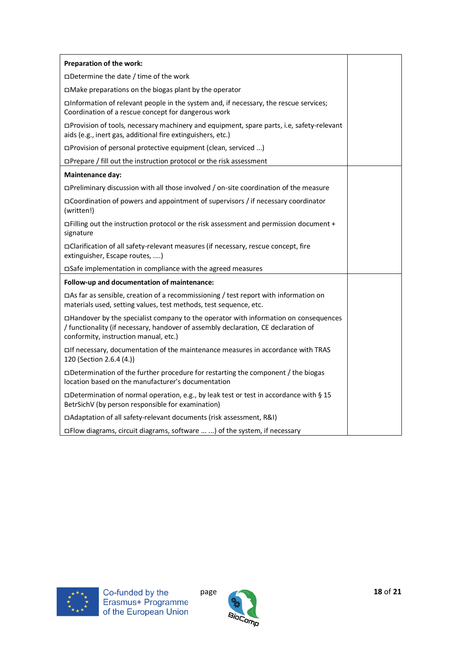| Preparation of the work:                                                                                                                                                                                            |  |
|---------------------------------------------------------------------------------------------------------------------------------------------------------------------------------------------------------------------|--|
| $\Box$ Determine the date / time of the work                                                                                                                                                                        |  |
| □Make preparations on the biogas plant by the operator                                                                                                                                                              |  |
| □Information of relevant people in the system and, if necessary, the rescue services;<br>Coordination of a rescue concept for dangerous work                                                                        |  |
| □Provision of tools, necessary machinery and equipment, spare parts, i.e, safety-relevant<br>aids (e.g., inert gas, additional fire extinguishers, etc.)                                                            |  |
| □Provision of personal protective equipment (clean, serviced )                                                                                                                                                      |  |
| $\Box$ Prepare / fill out the instruction protocol or the risk assessment                                                                                                                                           |  |
| Maintenance day:                                                                                                                                                                                                    |  |
| □Preliminary discussion with all those involved / on-site coordination of the measure                                                                                                                               |  |
| □Coordination of powers and appointment of supervisors / if necessary coordinator<br>(written!)                                                                                                                     |  |
| □ Filling out the instruction protocol or the risk assessment and permission document +<br>signature                                                                                                                |  |
| □Clarification of all safety-relevant measures (if necessary, rescue concept, fire<br>extinguisher, Escape routes, )                                                                                                |  |
| □Safe implementation in compliance with the agreed measures                                                                                                                                                         |  |
| Follow-up and documentation of maintenance:                                                                                                                                                                         |  |
| □ As far as sensible, creation of a recommissioning / test report with information on<br>materials used, setting values, test methods, test sequence, etc.                                                          |  |
| □Handover by the specialist company to the operator with information on consequences<br>/ functionality (if necessary, handover of assembly declaration, CE declaration of<br>conformity, instruction manual, etc.) |  |
| □If necessary, documentation of the maintenance measures in accordance with TRAS<br>120 (Section 2.6.4 (4.))                                                                                                        |  |
| □Determination of the further procedure for restarting the component / the biogas<br>location based on the manufacturer's documentation                                                                             |  |
| □Determination of normal operation, e.g., by leak test or test in accordance with § 15<br>BetrSichV (by person responsible for examination)                                                                         |  |
| □Adaptation of all safety-relevant documents (risk assessment, R&I)                                                                                                                                                 |  |
| □Flow diagrams, circuit diagrams, software  ) of the system, if necessary                                                                                                                                           |  |



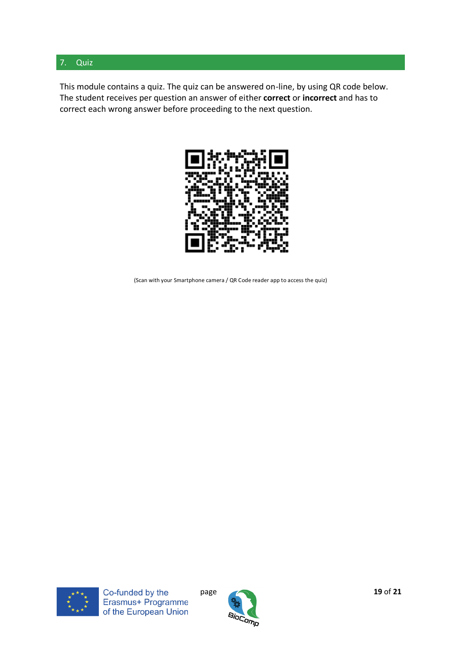#### <span id="page-18-0"></span>7. Quiz

This module contains a quiz. The quiz can be answered on-line, by using QR code below. The student receives per question an answer of either **correct** or **incorrect** and has to correct each wrong answer before proceeding to the next question.



(Scan with your Smartphone camera / QR Code reader app to access the quiz)



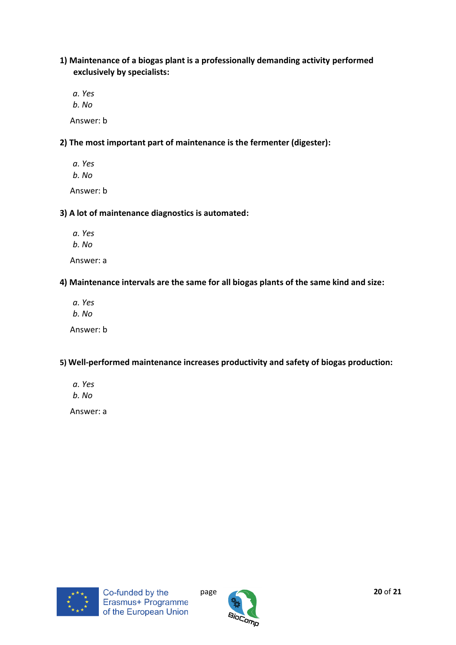**1) Maintenance of a biogas plant is a professionally demanding activity performed exclusively by specialists:**

*a. Yes b. No* Answer: b

**2) The most important part of maintenance is the fermenter (digester):**

- *a. Yes*
- *b. No*

Answer: b

#### **3) A lot of maintenance diagnostics is automated:**

- *a. Yes*
- *b. No*

Answer: a

#### **4) Maintenance intervals are the same for all biogas plants of the same kind and size:**

*a. Yes b. No* Answer: b

#### **5) Well-performed maintenance increases productivity and safety of biogas production:**

- *a. Yes b. No*
- 

Answer: a